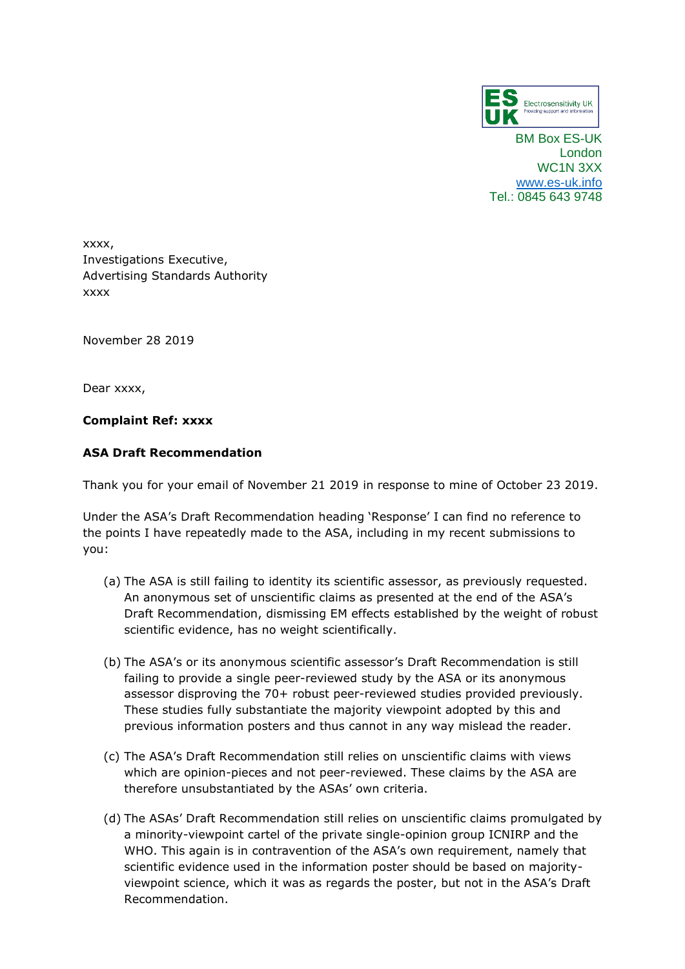

BM Box ES-UK London WC1N 3XX [www.es-uk.info](http://www.es-uk.info/) Tel.: 0845 643 9748

xxxx, Investigations Executive, Advertising Standards Authority xxxx

November 28 2019

Dear xxxx,

## **Complaint Ref: xxxx**

## **ASA Draft Recommendation**

Thank you for your email of November 21 2019 in response to mine of October 23 2019.

Under the ASA's Draft Recommendation heading 'Response' I can find no reference to the points I have repeatedly made to the ASA, including in my recent submissions to you:

- (a) The ASA is still failing to identity its scientific assessor, as previously requested. An anonymous set of unscientific claims as presented at the end of the ASA's Draft Recommendation, dismissing EM effects established by the weight of robust scientific evidence, has no weight scientifically.
- (b) The ASA's or its anonymous scientific assessor's Draft Recommendation is still failing to provide a single peer-reviewed study by the ASA or its anonymous assessor disproving the 70+ robust peer-reviewed studies provided previously. These studies fully substantiate the majority viewpoint adopted by this and previous information posters and thus cannot in any way mislead the reader.
- (c) The ASA's Draft Recommendation still relies on unscientific claims with views which are opinion-pieces and not peer-reviewed. These claims by the ASA are therefore unsubstantiated by the ASAs' own criteria.
- (d) The ASAs' Draft Recommendation still relies on unscientific claims promulgated by a minority-viewpoint cartel of the private single-opinion group ICNIRP and the WHO. This again is in contravention of the ASA's own requirement, namely that scientific evidence used in the information poster should be based on majorityviewpoint science, which it was as regards the poster, but not in the ASA's Draft Recommendation.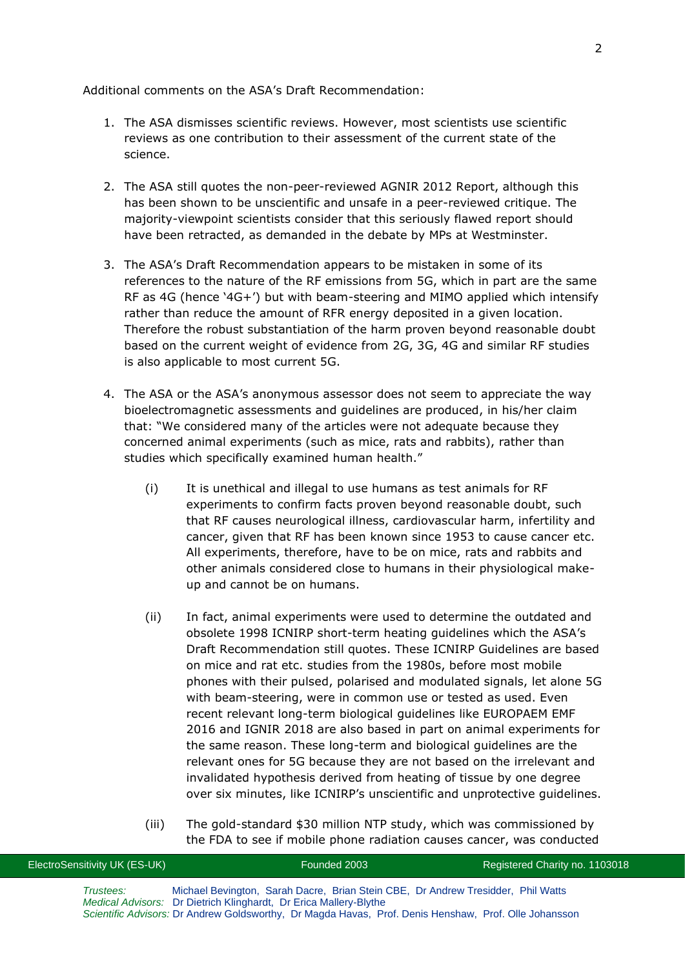Additional comments on the ASA's Draft Recommendation:

- 1. The ASA dismisses scientific reviews. However, most scientists use scientific reviews as one contribution to their assessment of the current state of the science.
- 2. The ASA still quotes the non-peer-reviewed AGNIR 2012 Report, although this has been shown to be unscientific and unsafe in a peer-reviewed critique. The majority-viewpoint scientists consider that this seriously flawed report should have been retracted, as demanded in the debate by MPs at Westminster.
- 3. The ASA's Draft Recommendation appears to be mistaken in some of its references to the nature of the RF emissions from 5G, which in part are the same RF as 4G (hence '4G+') but with beam-steering and MIMO applied which intensify rather than reduce the amount of RFR energy deposited in a given location. Therefore the robust substantiation of the harm proven beyond reasonable doubt based on the current weight of evidence from 2G, 3G, 4G and similar RF studies is also applicable to most current 5G.
- 4. The ASA or the ASA's anonymous assessor does not seem to appreciate the way bioelectromagnetic assessments and guidelines are produced, in his/her claim that: "We considered many of the articles were not adequate because they concerned animal experiments (such as mice, rats and rabbits), rather than studies which specifically examined human health."
	- (i) It is unethical and illegal to use humans as test animals for RF experiments to confirm facts proven beyond reasonable doubt, such that RF causes neurological illness, cardiovascular harm, infertility and cancer, given that RF has been known since 1953 to cause cancer etc. All experiments, therefore, have to be on mice, rats and rabbits and other animals considered close to humans in their physiological makeup and cannot be on humans.
	- (ii) In fact, animal experiments were used to determine the outdated and obsolete 1998 ICNIRP short-term heating guidelines which the ASA's Draft Recommendation still quotes. These ICNIRP Guidelines are based on mice and rat etc. studies from the 1980s, before most mobile phones with their pulsed, polarised and modulated signals, let alone 5G with beam-steering, were in common use or tested as used. Even recent relevant long-term biological guidelines like EUROPAEM EMF 2016 and IGNIR 2018 are also based in part on animal experiments for the same reason. These long-term and biological guidelines are the relevant ones for 5G because they are not based on the irrelevant and invalidated hypothesis derived from heating of tissue by one degree over six minutes, like ICNIRP's unscientific and unprotective guidelines.
	- (iii) The gold-standard \$30 million NTP study, which was commissioned by the FDA to see if mobile phone radiation causes cancer, was conducted

| ElectroSensitivity UK (ES-UK) | Founded 2003                                                                                                                                                               | Registered Charity no. 1103018 |
|-------------------------------|----------------------------------------------------------------------------------------------------------------------------------------------------------------------------|--------------------------------|
| Trustees:                     | Michael Bevington, Sarah Dacre, Brian Stein CBE, Dr Andrew Tresidder, Phil Watts                                                                                           |                                |
|                               | Medical Advisors: Dr Dietrich Klinghardt, Dr Erica Mallery-Blythe<br>Scientific Advisors: Dr Andrew Goldsworthy, Dr Magda Havas, Prof. Denis Henshaw, Prof. Olle Johansson |                                |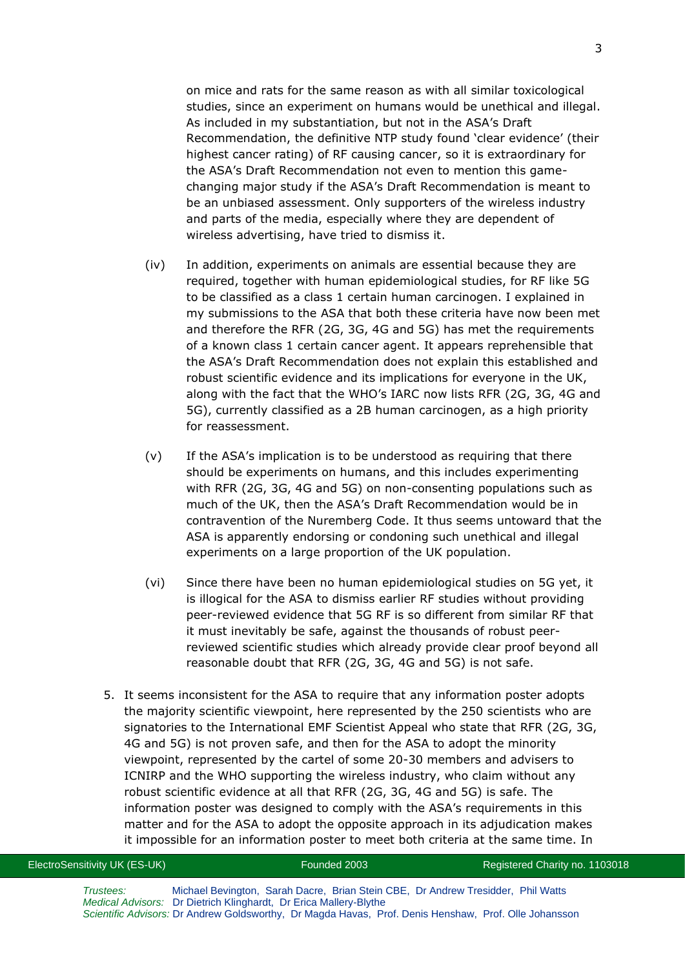on mice and rats for the same reason as with all similar toxicological studies, since an experiment on humans would be unethical and illegal. As included in my substantiation, but not in the ASA's Draft Recommendation, the definitive NTP study found 'clear evidence' (their highest cancer rating) of RF causing cancer, so it is extraordinary for the ASA's Draft Recommendation not even to mention this gamechanging major study if the ASA's Draft Recommendation is meant to be an unbiased assessment. Only supporters of the wireless industry and parts of the media, especially where they are dependent of wireless advertising, have tried to dismiss it.

- (iv) In addition, experiments on animals are essential because they are required, together with human epidemiological studies, for RF like 5G to be classified as a class 1 certain human carcinogen. I explained in my submissions to the ASA that both these criteria have now been met and therefore the RFR (2G, 3G, 4G and 5G) has met the requirements of a known class 1 certain cancer agent. It appears reprehensible that the ASA's Draft Recommendation does not explain this established and robust scientific evidence and its implications for everyone in the UK, along with the fact that the WHO's IARC now lists RFR (2G, 3G, 4G and 5G), currently classified as a 2B human carcinogen, as a high priority for reassessment.
- (v) If the ASA's implication is to be understood as requiring that there should be experiments on humans, and this includes experimenting with RFR (2G, 3G, 4G and 5G) on non-consenting populations such as much of the UK, then the ASA's Draft Recommendation would be in contravention of the Nuremberg Code. It thus seems untoward that the ASA is apparently endorsing or condoning such unethical and illegal experiments on a large proportion of the UK population.
- (vi) Since there have been no human epidemiological studies on 5G yet, it is illogical for the ASA to dismiss earlier RF studies without providing peer-reviewed evidence that 5G RF is so different from similar RF that it must inevitably be safe, against the thousands of robust peerreviewed scientific studies which already provide clear proof beyond all reasonable doubt that RFR (2G, 3G, 4G and 5G) is not safe.
- 5. It seems inconsistent for the ASA to require that any information poster adopts the majority scientific viewpoint, here represented by the 250 scientists who are signatories to the International EMF Scientist Appeal who state that RFR (2G, 3G, 4G and 5G) is not proven safe, and then for the ASA to adopt the minority viewpoint, represented by the cartel of some 20-30 members and advisers to ICNIRP and the WHO supporting the wireless industry, who claim without any robust scientific evidence at all that RFR (2G, 3G, 4G and 5G) is safe. The information poster was designed to comply with the ASA's requirements in this matter and for the ASA to adopt the opposite approach in its adjudication makes it impossible for an information poster to meet both criteria at the same time. In

| ElectroSensitivity UK (ES-UK) | Founded 2003                                                                                                                                          | Registered Charity no. 1103018 |
|-------------------------------|-------------------------------------------------------------------------------------------------------------------------------------------------------|--------------------------------|
| Trustees:                     | Michael Bevington, Sarah Dacre, Brian Stein CBE, Dr Andrew Tresidder, Phil Watts<br>Medical Advisors: Dr Dietrich Klinghardt, Dr Erica Mallery-Blythe |                                |
|                               | Scientific Advisors: Dr Andrew Goldsworthy, Dr Magda Havas, Prof. Denis Henshaw, Prof. Olle Johansson                                                 |                                |